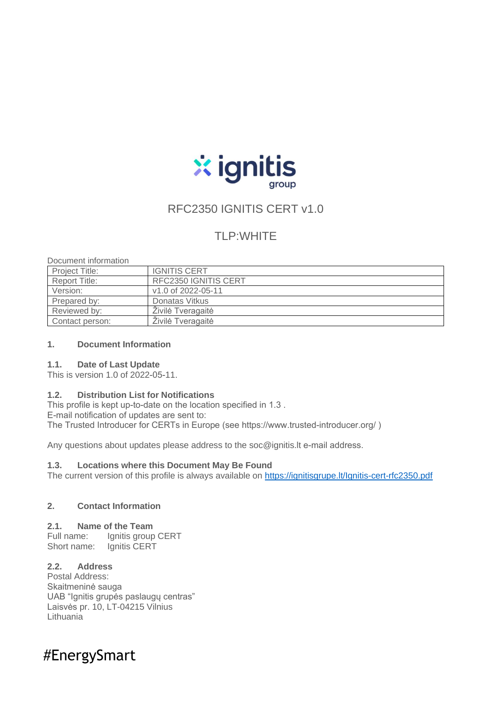

# RFC2350 IGNITIS CERT v1.0

# TLP:WHITE

Document information

| <b>Project Title:</b> | <b>IGNITIS CERT</b>         |
|-----------------------|-----------------------------|
| <b>Report Title:</b>  | <b>RFC2350 IGNITIS CERT</b> |
| Version:              | v1.0 of 2022-05-11          |
| Prepared by:          | Donatas Vitkus              |
| Reviewed by:          | Zivilė Tveragaitė           |
| Contact person:       | Živilė Tveragaitė           |

### **1. Document Information**

### **1.1. Date of Last Update**

This is version 1.0 of 2022-05-11.

### **1.2. Distribution List for Notifications**

This profile is kept up-to-date on the location specified in 1.3. E-mail notification of updates are sent to: The Trusted Introducer for CERTs in Europe (see https://www.trusted-introducer.org/)

Any questions about updates please address to the soc@ignitis. It e-mail address.

### **1.3. Locations where this Document May Be Found**

The current version of this profile is always available on<https://ignitisgrupe.lt/Ignitis-cert-rfc2350.pdf>

### **2. Contact Information**

### **2.1. Name of the Team**

Full name: Ignitis group CERT Short name: Ignitis CERT

# **2.2. Address**

Postal Address: Skaitmeninė sauga UAB "Ignitis grupės paslaugų centras" Laisvės pr. 10, LT-04215 Vilnius **Lithuania** 

# #EnergySmart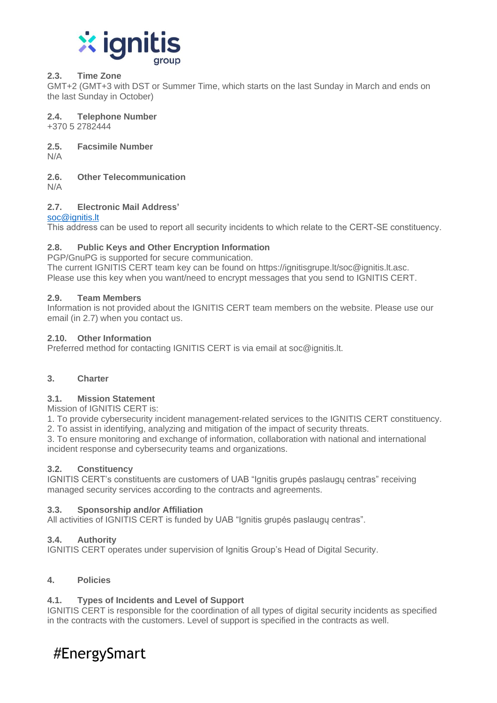

# **2.3. Time Zone**

GMT+2 (GMT+3 with DST or Summer Time, which starts on the last Sunday in March and ends on the last Sunday in October)

**2.4. Telephone Number**

+370 5 2782444

**2.5. Facsimile Number**

N/A

**2.6. Other Telecommunication**

N/A

# **2.7. Electronic Mail Address'**

# [soc@ignitis.lt](mailto:soc@ignitis.lt)

This address can be used to report all security incidents to which relate to the CERT-SE constituency.

# **2.8. Public Keys and Other Encryption Information**

PGP/GnuPG is supported for secure communication.

The current IGNITIS CERT team key can be found on https://ignitisgrupe.lt/soc@ignitis.lt.asc. Please use this key when you want/need to encrypt messages that you send to IGNITIS CERT.

# **2.9. Team Members**

Information is not provided about the IGNITIS CERT team members on the website. Please use our email (in 2.7) when you contact us.

# **2.10. Other Information**

Preferred method for contacting IGNITIS CERT is via email at soc@ignitis.lt.

# **3. Charter**

# **3.1. Mission Statement**

Mission of IGNITIS CERT is:

1. To provide cybersecurity incident management-related services to the IGNITIS CERT constituency.

2. To assist in identifying, analyzing and mitigation of the impact of security threats.

3. To ensure monitoring and exchange of information, collaboration with national and international incident response and cybersecurity teams and organizations.

### **3.2. Constituency**

IGNITIS CERT's constituents are customers of UAB "Ignitis grupės paslaugų centras" receiving managed security services according to the contracts and agreements.

# **3.3. Sponsorship and/or Affiliation**

All activities of IGNITIS CERT is funded by UAB "Ignitis grupės paslaugų centras".

# **3.4. Authority**

IGNITIS CERT operates under supervision of Ignitis Group's Head of Digital Security.

# **4. Policies**

# **4.1. Types of Incidents and Level of Support**

IGNITIS CERT is responsible for the coordination of all types of digital security incidents as specified in the contracts with the customers. Level of support is specified in the contracts as well.

# #EnergySmart